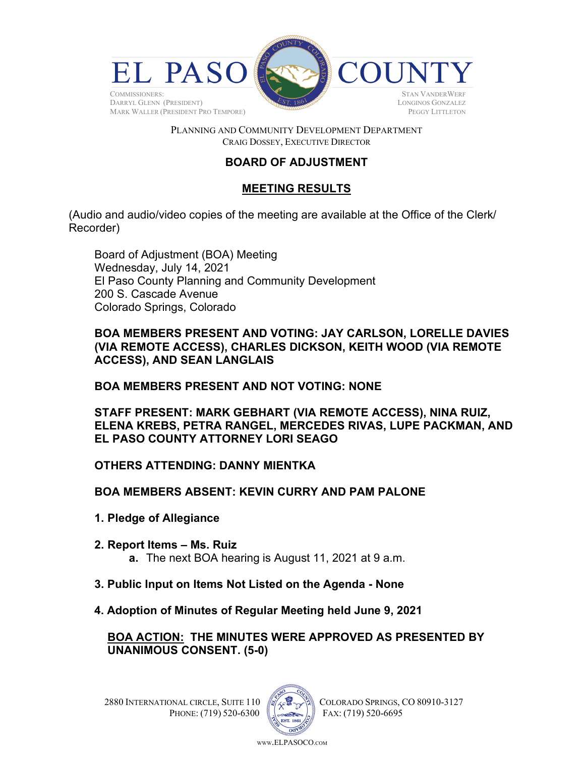

#### PLANNING AND COMMUNITY DEVELOPMENT DEPARTMENT CRAIG DOSSEY, EXECUTIVE DIRECTOR

# **BOARD OF ADJUSTMENT**

## **MEETING RESULTS**

(Audio and audio/video copies of the meeting are available at the Office of the Clerk/ Recorder)

Board of Adjustment (BOA) Meeting Wednesday, July 14, 2021 El Paso County Planning and Community Development 200 S. Cascade Avenue Colorado Springs, Colorado

**BOA MEMBERS PRESENT AND VOTING: JAY CARLSON, LORELLE DAVIES (VIA REMOTE ACCESS), CHARLES DICKSON, KEITH WOOD (VIA REMOTE ACCESS), AND SEAN LANGLAIS** 

**BOA MEMBERS PRESENT AND NOT VOTING: NONE** 

**STAFF PRESENT: MARK GEBHART (VIA REMOTE ACCESS), NINA RUIZ, ELENA KREBS, PETRA RANGEL, MERCEDES RIVAS, LUPE PACKMAN, AND EL PASO COUNTY ATTORNEY LORI SEAGO** 

**OTHERS ATTENDING: DANNY MIENTKA**

**BOA MEMBERS ABSENT: KEVIN CURRY AND PAM PALONE** 

- **1. Pledge of Allegiance**
- **2. Report Items Ms. Ruiz a.** The next BOA hearing is August 11, 2021 at 9 a.m.
- **3. Public Input on Items Not Listed on the Agenda None**
- **4. Adoption of Minutes of Regular Meeting held June 9, 2021**

## **BOA ACTION: THE MINUTES WERE APPROVED AS PRESENTED BY UNANIMOUS CONSENT. (5-0)**

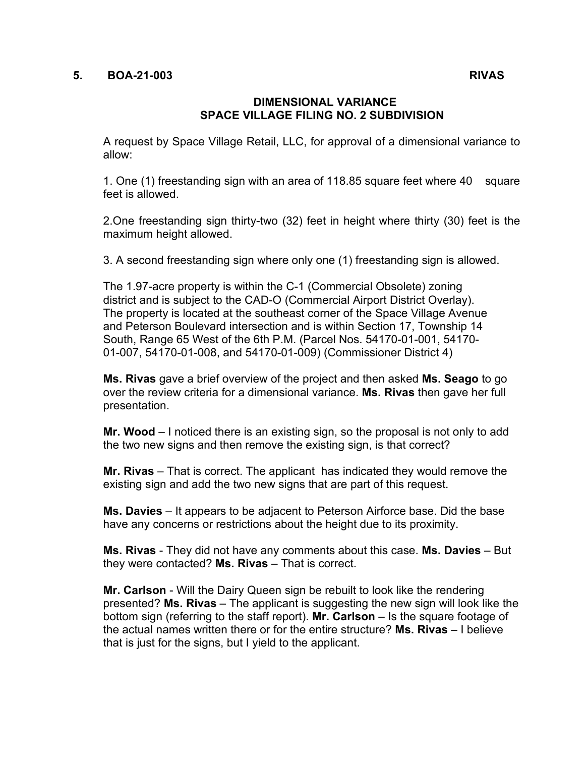#### **5. BOA-21-003 RIVAS**

### **DIMENSIONAL VARIANCE SPACE VILLAGE FILING NO. 2 SUBDIVISION**

A request by Space Village Retail, LLC, for approval of a dimensional variance to allow:

1. One (1) freestanding sign with an area of 118.85 square feet where 40 square feet is allowed.

2.One freestanding sign thirty-two (32) feet in height where thirty (30) feet is the maximum height allowed.

3. A second freestanding sign where only one (1) freestanding sign is allowed.

The 1.97-acre property is within the C-1 (Commercial Obsolete) zoning district and is subject to the CAD-O (Commercial Airport District Overlay). The property is located at the southeast corner of the Space Village Avenue and Peterson Boulevard intersection and is within Section 17, Township 14 South, Range 65 West of the 6th P.M. (Parcel Nos. 54170-01-001, 54170- 01-007, 54170-01-008, and 54170-01-009) (Commissioner District 4)

**Ms. Rivas** gave a brief overview of the project and then asked **Ms. Seago** to go over the review criteria for a dimensional variance. **Ms. Rivas** then gave her full presentation.

**Mr. Wood** – I noticed there is an existing sign, so the proposal is not only to add the two new signs and then remove the existing sign, is that correct?

**Mr. Rivas** – That is correct. The applicant has indicated they would remove the existing sign and add the two new signs that are part of this request.

**Ms. Davies** – It appears to be adjacent to Peterson Airforce base. Did the base have any concerns or restrictions about the height due to its proximity.

**Ms. Rivas** - They did not have any comments about this case. **Ms. Davies** – But they were contacted? **Ms. Rivas** – That is correct.

**Mr. Carlson** - Will the Dairy Queen sign be rebuilt to look like the rendering presented? **Ms. Rivas** – The applicant is suggesting the new sign will look like the bottom sign (referring to the staff report). **Mr. Carlson** – Is the square footage of the actual names written there or for the entire structure? **Ms. Rivas** – I believe that is just for the signs, but I yield to the applicant.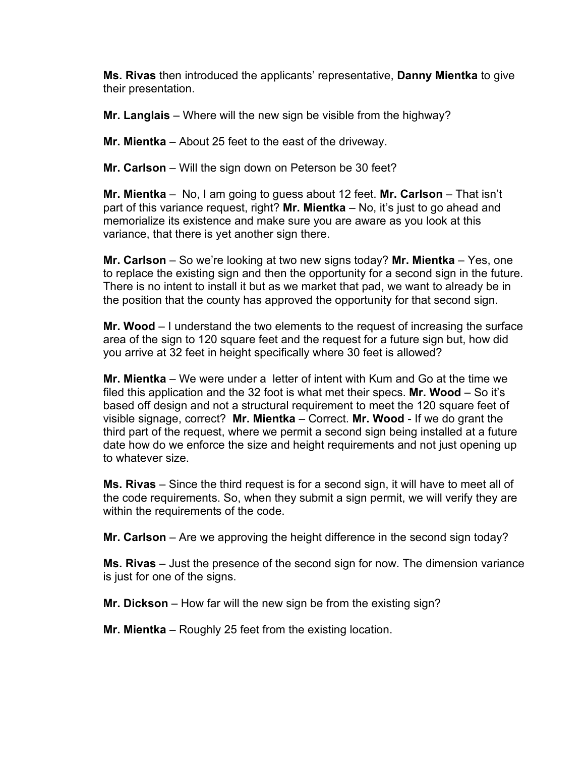**Ms. Rivas** then introduced the applicants' representative, **Danny Mientka** to give their presentation.

**Mr. Langlais** – Where will the new sign be visible from the highway?

**Mr. Mientka** – About 25 feet to the east of the driveway.

**Mr. Carlson** – Will the sign down on Peterson be 30 feet?

**Mr. Mientka** – No, I am going to guess about 12 feet. **Mr. Carlson** – That isn't part of this variance request, right? **Mr. Mientka** – No, it's just to go ahead and memorialize its existence and make sure you are aware as you look at this variance, that there is yet another sign there.

**Mr. Carlson** – So we're looking at two new signs today? **Mr. Mientka** – Yes, one to replace the existing sign and then the opportunity for a second sign in the future. There is no intent to install it but as we market that pad, we want to already be in the position that the county has approved the opportunity for that second sign.

**Mr. Wood** – I understand the two elements to the request of increasing the surface area of the sign to 120 square feet and the request for a future sign but, how did you arrive at 32 feet in height specifically where 30 feet is allowed?

**Mr. Mientka** – We were under a letter of intent with Kum and Go at the time we filed this application and the 32 foot is what met their specs. **Mr. Wood** – So it's based off design and not a structural requirement to meet the 120 square feet of visible signage, correct? **Mr. Mientka** – Correct. **Mr. Wood** - If we do grant the third part of the request, where we permit a second sign being installed at a future date how do we enforce the size and height requirements and not just opening up to whatever size.

**Ms. Rivas** – Since the third request is for a second sign, it will have to meet all of the code requirements. So, when they submit a sign permit, we will verify they are within the requirements of the code.

**Mr. Carlson** – Are we approving the height difference in the second sign today?

**Ms. Rivas** – Just the presence of the second sign for now. The dimension variance is just for one of the signs.

**Mr. Dickson** – How far will the new sign be from the existing sign?

**Mr. Mientka** – Roughly 25 feet from the existing location.